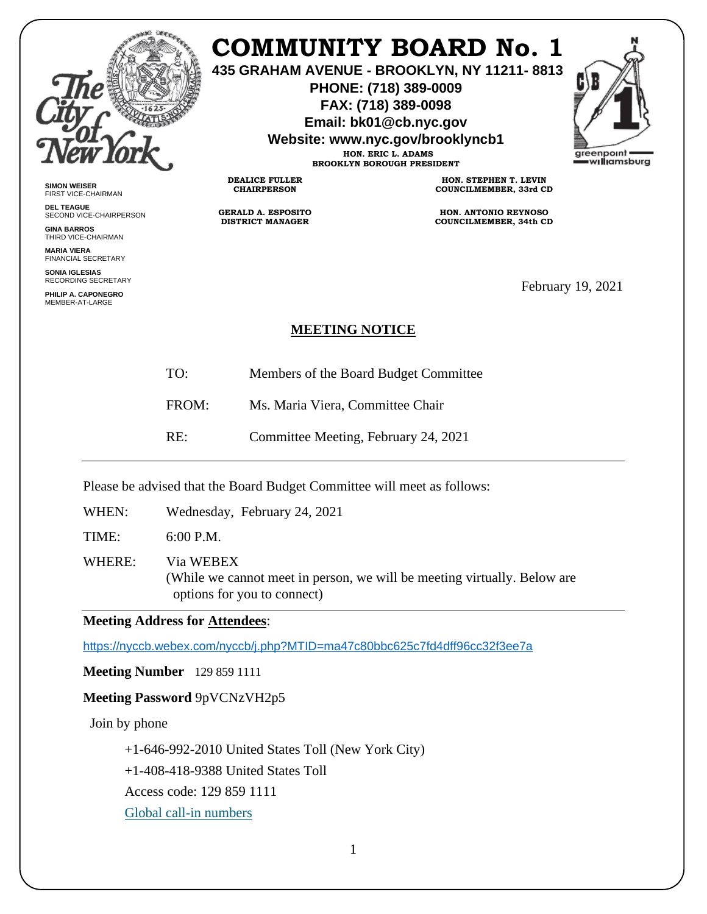

# **COMMUNITY BOARD No. 1**

**435 GRAHAM AVENUE - BROOKLYN, NY 11211- 8813**

**PHONE: (718) 389-0009 FAX: (718) 389-0098**

**Email: bk01@cb.nyc.gov**

**Website: www.nyc.gov/brooklyncb1**

**HON. ERIC L. ADAMS BROOKLYN BOROUGH PRESIDENT**



**SIMON WEISER** FIRST VICE-CHAIRMAN

**DEL TEAGUE** SECOND VICE-CHAIRPERSON

**GINA BARROS** THIRD VICE-CHAIRMAN

**MARIA VIERA** FINANCIAL SECRETARY

**SONIA IGLESIAS** RECORDING SECRETARY

**PHILIP A. CAPONEGRO** MEMBER-AT-LARGE

**GERALD A. ESPOSITO DISTRICT MANAGER**

**DEALICE FULLER CHAIRPERSON**

**HON. STEPHEN T. LEVIN COUNCILMEMBER, 33rd CD**

**HON. ANTONIO REYNOSO COUNCILMEMBER, 34th CD**

February 19, 2021

### **MEETING NOTICE**

TO: Members of the Board Budget Committee

FROM: Ms. Maria Viera, Committee Chair

RE: Committee Meeting, February 24, 2021

Please be advised that the Board Budget Committee will meet as follows:

WHEN: Wednesday, February 24, 2021

TIME: 6:00 P.M.

WHERE: Via WEBEX (While we cannot meet in person, we will be meeting virtually. Below are options for you to connect)

#### **Meeting Address for Attendees**:

<https://nyccb.webex.com/nyccb/j.php?MTID=ma47c80bbc625c7fd4dff96cc32f3ee7a>

**Meeting Number** 129 859 1111

## **Meeting Password** 9pVCNzVH2p5

Join by phone

+1-646-992-2010 United States Toll (New York City)

+1-408-418-9388 United States Toll

Access code: 129 859 1111

[Global call-in numbers](javascript:void(0);)